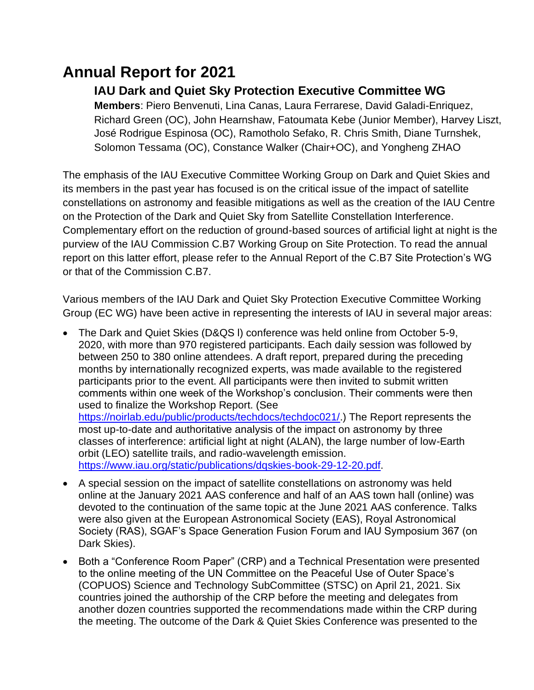## **Annual Report for 2021**

Dark Skies).

## **IAU Dark and Quiet Sky Protection Executive Committee WG**

**Members**: Piero Benvenuti, Lina Canas, Laura Ferrarese, David Galadi-Enriquez, Richard Green (OC), John Hearnshaw, Fatoumata Kebe (Junior Member), Harvey Liszt, José Rodrigue Espinosa (OC), Ramotholo Sefako, R. Chris Smith, Diane Turnshek, Solomon Tessama (OC), Constance Walker (Chair+OC), and Yongheng ZHAO

The emphasis of the IAU Executive Committee Working Group on Dark and Quiet Skies and its members in the past year has focused is on the critical issue of the impact of satellite constellations on astronomy and feasible mitigations as well as the creation of the IAU Centre on the Protection of the Dark and Quiet Sky from Satellite Constellation Interference. Complementary effort on the reduction of ground-based sources of artificial light at night is the purview of the IAU Commission C.B7 Working Group on Site Protection. To read the annual report on this latter effort, please refer to the Annual Report of the C.B7 Site Protection's WG or that of the Commission C.B7.

Various members of the IAU Dark and Quiet Sky Protection Executive Committee Working Group (EC WG) have been active in representing the interests of IAU in several major areas:

• The Dark and Quiet Skies (D&QS l) conference was held online from October 5-9, 2020, with more than 970 registered participants. Each daily session was followed by between 250 to 380 online attendees. A draft report, prepared during the preceding months by internationally recognized experts, was made available to the registered participants prior to the event. All participants were then invited to submit written comments within one week of the Workshop's conclusion. Their comments were then used to finalize the Workshop Report. (See [https://noirlab.edu/public/products/techdocs/techdoc021/.](https://noirlab.edu/public/products/techdocs/techdoc021/)) The Report represents the most up-to-date and authoritative analysis of the impact on astronomy by three classes of interference: artificial light at night (ALAN), the large number of low-Earth orbit (LEO) satellite trails, and radio-wavelength emission. [https://www.iau.org/static/publications/dqskies-book-29-12-20.pdf.](https://www.iau.org/static/publications/dqskies-book-29-12-20.pdf)

• A special session on the impact of satellite constellations on astronomy was held online at the January 2021 AAS conference and half of an AAS town hall (online) was devoted to the continuation of the same topic at the June 2021 AAS conference. Talks were also given at the European Astronomical Society (EAS), Royal Astronomical Society (RAS), SGAF's Space Generation Fusion Forum and IAU Symposium 367 (on

• Both a "Conference Room Paper" (CRP) and a Technical Presentation were presented to the online meeting of the UN Committee on the Peaceful Use of Outer Space's (COPUOS) Science and Technology SubCommittee (STSC) on April 21, 2021. Six countries joined the authorship of the CRP before the meeting and delegates from another dozen countries supported the recommendations made within the CRP during the meeting. The outcome of the Dark & Quiet Skies Conference was presented to the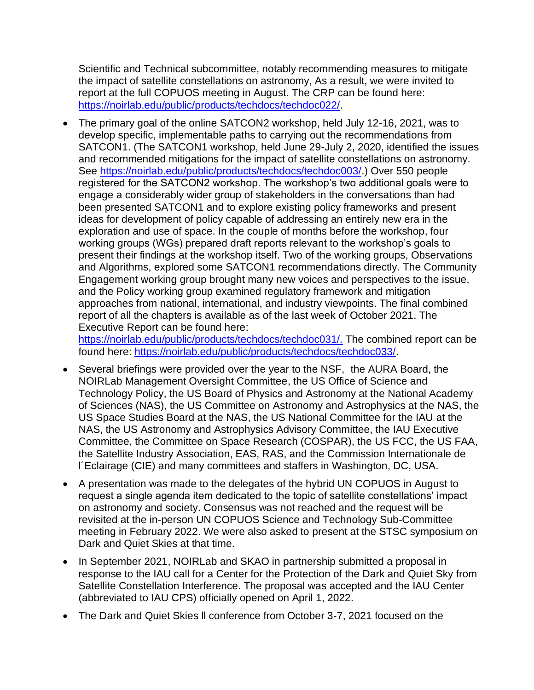Scientific and Technical subcommittee, notably recommending measures to mitigate the impact of satellite constellations on astronomy, As a result, we were invited to report at the full COPUOS meeting in August. The CRP can be found here: [https://noirlab.edu/public/products/techdocs/techdoc022/.](https://noirlab.edu/public/products/techdocs/techdoc022/)

• The primary goal of the online SATCON2 workshop, held July 12-16, 2021, was to develop specific, implementable paths to carrying out the recommendations from SATCON1. (The SATCON1 workshop, held June 29-July 2, 2020, identified the issues and recommended mitigations for the impact of satellite constellations on astronomy. See [https://noirlab.edu/public/products/techdocs/techdoc003/.](https://noirlab.edu/public/products/techdocs/techdoc003/)) Over 550 people registered for the SATCON2 workshop. The workshop's two additional goals were to engage a considerably wider group of stakeholders in the conversations than had been presented SATCON1 and to explore existing policy frameworks and present ideas for development of policy capable of addressing an entirely new era in the exploration and use of space. In the couple of months before the workshop, four working groups (WGs) prepared draft reports relevant to the workshop's goals to present their findings at the workshop itself. Two of the working groups, Observations and Algorithms, explored some SATCON1 recommendations directly. The Community Engagement working group brought many new voices and perspectives to the issue, and the Policy working group examined regulatory framework and mitigation approaches from national, international, and industry viewpoints. The final combined report of all the chapters is available as of the last week of October 2021. The Executive Report can be found here:

[https://noirlab.edu/public/products/techdocs/techdoc031/.](https://noirlab.edu/public/products/techdocs/techdoc031/) The combined report can be found here: [https://noirlab.edu/public/products/techdocs/techdoc033/.](https://noirlab.edu/public/products/techdocs/techdoc033/)

- Several briefings were provided over the year to the NSF, the AURA Board, the NOIRLab Management Oversight Committee, the US Office of Science and Technology Policy, the US Board of Physics and Astronomy at the National Academy of Sciences (NAS), the US Committee on Astronomy and Astrophysics at the NAS, the US Space Studies Board at the NAS, the US National Committee for the IAU at the NAS, the US Astronomy and Astrophysics Advisory Committee, the IAU Executive Committee, the Committee on Space Research (COSPAR), the US FCC, the US FAA, the Satellite Industry Association, EAS, RAS, and the Commission Internationale de l´Eclairage (CIE) and many committees and staffers in Washington, DC, USA.
- A presentation was made to the delegates of the hybrid UN COPUOS in August to request a single agenda item dedicated to the topic of satellite constellations' impact on astronomy and society. Consensus was not reached and the request will be revisited at the in-person UN COPUOS Science and Technology Sub-Committee meeting in February 2022. We were also asked to present at the STSC symposium on Dark and Quiet Skies at that time.
- In September 2021, NOIRLab and SKAO in partnership submitted a proposal in response to the IAU call for a Center for the Protection of the Dark and Quiet Sky from Satellite Constellation Interference. The proposal was accepted and the IAU Center (abbreviated to IAU CPS) officially opened on April 1, 2022.
- The Dark and Quiet Skies ll conference from October 3-7, 2021 focused on the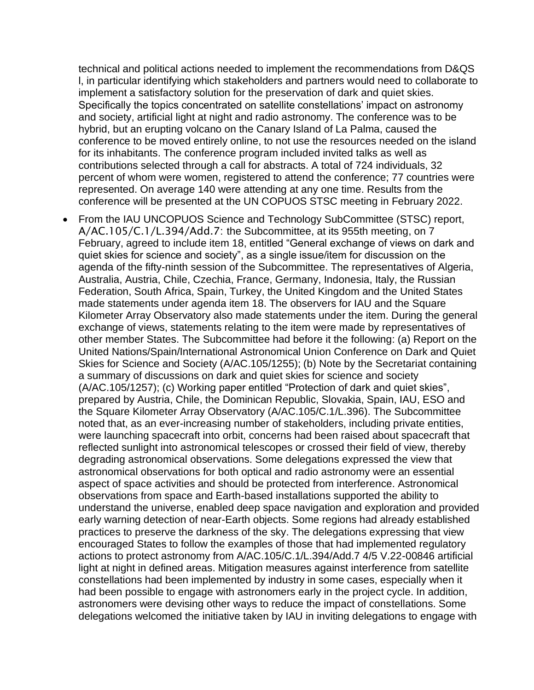technical and political actions needed to implement the recommendations from D&QS l, in particular identifying which stakeholders and partners would need to collaborate to implement a satisfactory solution for the preservation of dark and quiet skies. Specifically the topics concentrated on satellite constellations' impact on astronomy and society, artificial light at night and radio astronomy. The conference was to be hybrid, but an erupting volcano on the Canary Island of La Palma, caused the conference to be moved entirely online, to not use the resources needed on the island for its inhabitants. The conference program included invited talks as well as contributions selected through a call for abstracts. A total of 724 individuals, 32 percent of whom were women, registered to attend the conference; 77 countries were represented. On average 140 were attending at any one time. Results from the conference will be presented at the UN COPUOS STSC meeting in February 2022.

• From the IAU UNCOPUOS Science and Technology SubCommittee (STSC) report, A/AC.105/C.1/L.394/Add.7: the Subcommittee, at its 955th meeting, on 7 February, agreed to include item 18, entitled "General exchange of views on dark and quiet skies for science and society", as a single issue/item for discussion on the agenda of the fifty-ninth session of the Subcommittee. The representatives of Algeria, Australia, Austria, Chile, Czechia, France, Germany, Indonesia, Italy, the Russian Federation, South Africa, Spain, Turkey, the United Kingdom and the United States made statements under agenda item 18. The observers for IAU and the Square Kilometer Array Observatory also made statements under the item. During the general exchange of views, statements relating to the item were made by representatives of other member States. The Subcommittee had before it the following: (a) Report on the United Nations/Spain/International Astronomical Union Conference on Dark and Quiet Skies for Science and Society (A/AC.105/1255); (b) Note by the Secretariat containing a summary of discussions on dark and quiet skies for science and society (A/AC.105/1257); (c) Working paper entitled "Protection of dark and quiet skies", prepared by Austria, Chile, the Dominican Republic, Slovakia, Spain, IAU, ESO and the Square Kilometer Array Observatory (A/AC.105/C.1/L.396). The Subcommittee noted that, as an ever-increasing number of stakeholders, including private entities, were launching spacecraft into orbit, concerns had been raised about spacecraft that reflected sunlight into astronomical telescopes or crossed their field of view, thereby degrading astronomical observations. Some delegations expressed the view that astronomical observations for both optical and radio astronomy were an essential aspect of space activities and should be protected from interference. Astronomical observations from space and Earth-based installations supported the ability to understand the universe, enabled deep space navigation and exploration and provided early warning detection of near-Earth objects. Some regions had already established practices to preserve the darkness of the sky. The delegations expressing that view encouraged States to follow the examples of those that had implemented regulatory actions to protect astronomy from A/AC.105/C.1/L.394/Add.7 4/5 V.22-00846 artificial light at night in defined areas. Mitigation measures against interference from satellite constellations had been implemented by industry in some cases, especially when it had been possible to engage with astronomers early in the project cycle. In addition, astronomers were devising other ways to reduce the impact of constellations. Some delegations welcomed the initiative taken by IAU in inviting delegations to engage with